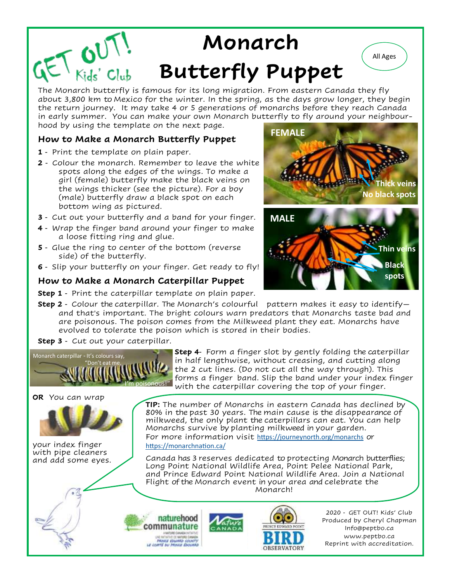## $E\nabla_{Kids'Club}$ **Monarch Butterfly Puppet**

The Monarch butterfly is famous for its long migration. From eastern Canada they fly about 3,800 km to Mexico for the winter. In the spring, as the days grow longer, they begin the return journey. It may take 4 or 5 generations of monarchs before they reach Canada in early summer. You can make your own Monarch butterfly to fly around your neighbourhood by using the template on the next page.

### **How to Make a Monarch Butterfly Puppet**

- **1**  Print the template on plain paper.
- **2** Colour the monarch. Remember to leave the white spots along the edges of the wings. To make a girl (female) butterfly make the black veins on the wings thicker (see the picture). For a boy (male) butterfly draw a black spot on each bottom wing as pictured.
- **3**  Cut out your butterfly and a band for your finger.
- **4**  Wrap the finger band around your finger to make a loose fitting ring and glue.
- **5**  Glue the ring to center of the bottom (reverse side) of the butterfly.
- **6**  Slip your butterfly on your finger. Get ready to fly!

#### **How to Make a Monarch Caterpillar Puppet**

**Step 1** - Print the caterpillar template on plain paper.

**Step 2** - Colour the caterpillar. The Monarch's colourful pattern makes it easy to identifyand that's important. The bright colours warn predators that Monarchs taste bad and are poisonous. The poison comes from the Milkweed plant they eat. Monarchs have evolved to tolerate the poison which is stored in their bodies.

**Step 3** - Cut out your caterpillar.



**OR** You can wrap

your index finger with pipe cleaners and add some eyes. **Step 4**- Form a finger slot by gently folding the caterpillar in half lengthwise, without creasing, and cutting along the 2 cut lines. (Do not cut all the way through). This forms a finger band. Slip the band under your index finger with the caterpillar covering the top of your finger.

**TIP:** The number of Monarchs in eastern Canada has declined by 80% in the past 30 years. The main cause is the disappearance of milkweed, the only plant the caterpillars can eat. You can help Monarchs survive by planting milkweed in your garden. For more information visit <https://journeynorth.org/monarchs> or <https://monarchnation.ca/>

Canada has 3 reserves dedicated to protecting Monarch butterflies; Long Point National Wildlife Area, Point Pelee National Park, and Prince Edward Point National Wildlife Area. Join a National Flight of the Monarch event in your area and celebrate the Monarch!





2020 - GET OUT! Kids' Club Produced by Cheryl Chapman Info@peptbo.ca www.peptbo.ca Reprint with accreditation.



All Ages